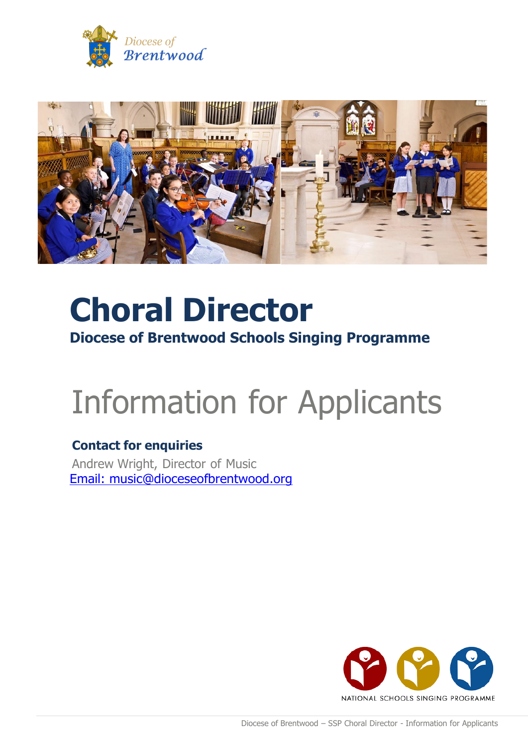



# **Choral Director Diocese of Brentwood Schools Singing Programme**

# Information for Applicants

### **Contact for enquiries**

Andrew Wright, Director of Music Email: music@dioceseofbrentwood.org

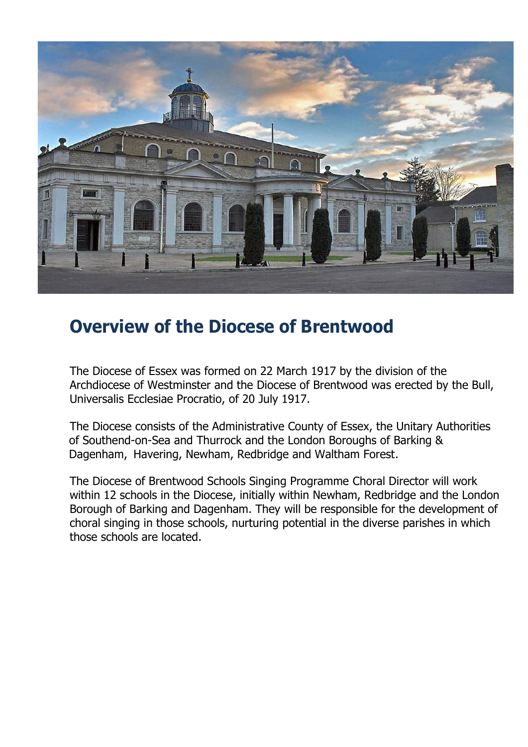

# **Overview of the Diocese of Brentwood**

The Diocese of Essex was formed on 22 March 1917 by the division of the Archdiocese of Westminster and the Diocese of Brentwood was erected by the Bull, Universalis Ecclesiae Procratio, of 20 July 1917.

The Diocese consists of the Administrative County of Essex, the Unitary Authorities of Southend-on-Sea and Thurrock and the London Boroughs of Barking & Dagenham, Havering, Newham, Redbridge and Waltham Forest.

The Diocese of Brentwood Schools Singing Programme Choral Director will work within 12 schools in the Diocese, initially within Newham, Redbridge and the London Borough of Barking and Dagenham. They will be responsible for the development of choral singing in those schools, nurturing potential in the diverse parishes in which those schools are located.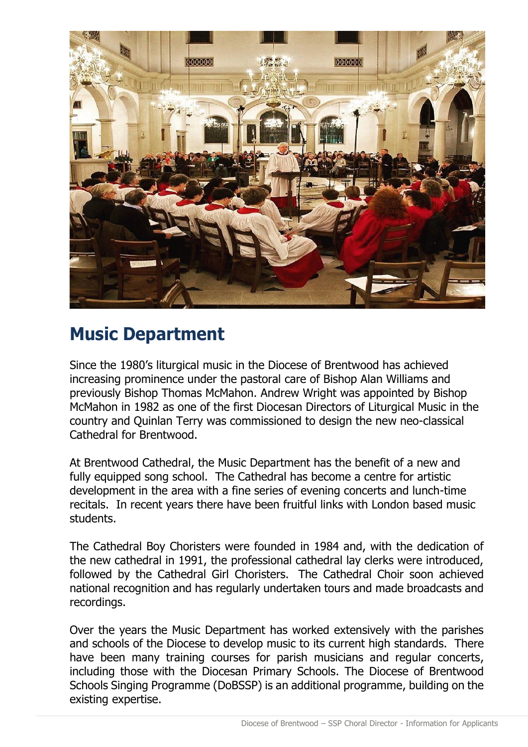

# **Music Department**

Since the 1980's liturgical music in the Diocese of Brentwood has achieved increasing prominence under the pastoral care of Bishop Alan Williams and previously Bishop Thomas McMahon. Andrew Wright was appointed by Bishop McMahon in 1982 as one of the first Diocesan Directors of Liturgical Music in the country and Quinlan Terry was commissioned to design the new neo-classical Cathedral for Brentwood.

At Brentwood Cathedral, the Music Department has the benefit of a new and fully equipped song school. The Cathedral has become a centre for artistic development in the area with a fine series of evening concerts and lunch-time recitals. In recent years there have been fruitful links with London based music students.

The Cathedral Boy Choristers were founded in 1984 and, with the dedication of the new cathedral in 1991, the professional cathedral lay clerks were introduced, followed by the Cathedral Girl Choristers. The Cathedral Choir soon achieved national recognition and has regularly undertaken tours and made broadcasts and recordings.

Over the years the Music Department has worked extensively with the parishes and schools of the Diocese to develop music to its current high standards. There have been many training courses for parish musicians and regular concerts, including those with the Diocesan Primary Schools. The Diocese of Brentwood Schools Singing Programme (DoBSSP) is an additional programme, building on the existing expertise.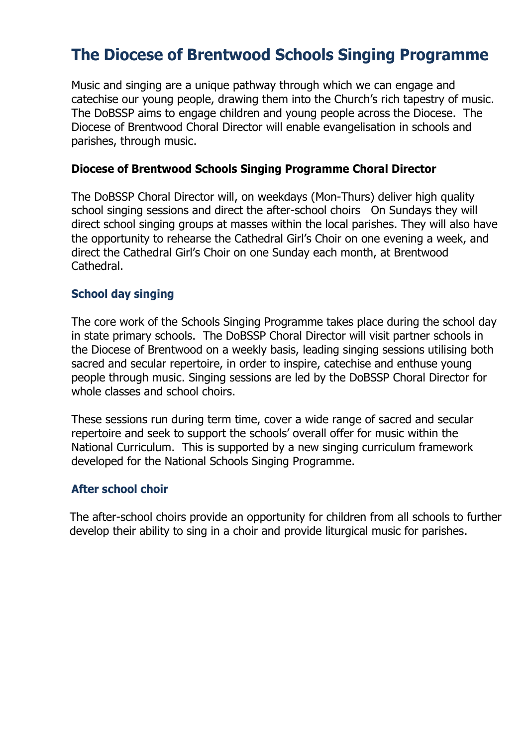### **The Diocese of Brentwood Schools Singing Programme**

Music and singing are a unique pathway through which we can engage and catechise our young people, drawing them into the Church's rich tapestry of music. The DoBSSP aims to engage children and young people across the Diocese. The Diocese of Brentwood Choral Director will enable evangelisation in schools and parishes, through music.

#### **Diocese of Brentwood Schools Singing Programme Choral Director**

The DoBSSP Choral Director will, on weekdays (Mon-Thurs) deliver high quality school singing sessions and direct the after-school choirs On Sundays they will direct school singing groups at masses within the local parishes. They will also have the opportunity to rehearse the Cathedral Girl's Choir on one evening a week, and direct the Cathedral Girl's Choir on one Sunday each month, at Brentwood Cathedral.

### **School day singing**

The core work of the Schools Singing Programme takes place during the school day in state primary schools. The DoBSSP Choral Director will visit partner schools in the Diocese of Brentwood on a weekly basis, leading singing sessions utilising both sacred and secular repertoire, in order to inspire, catechise and enthuse young people through music. Singing sessions are led by the DoBSSP Choral Director for whole classes and school choirs.

These sessions run during term time, cover a wide range of sacred and secular repertoire and seek to support the schools' overall offer for music within the National Curriculum. This is supported by a new singing curriculum framework developed for the National Schools Singing Programme.

#### **After school choir**

The after-school choirs provide an opportunity for children from all schools to further develop their ability to sing in a choir and provide liturgical music for parishes.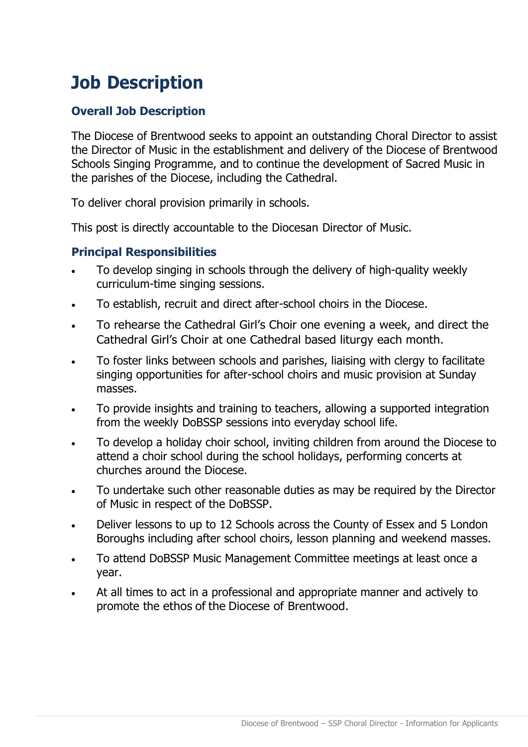# **Job Description**

### **Overall Job Description**

The Diocese of Brentwood seeks to appoint an outstanding Choral Director to assist the Director of Music in the establishment and delivery of the Diocese of Brentwood Schools Singing Programme, and to continue the development of Sacred Music in the parishes of the Diocese, including the Cathedral.

To deliver choral provision primarily in schools.

This post is directly accountable to the Diocesan Director of Music.

### **Principal Responsibilities**

- To develop singing in schools through the delivery of high-quality weekly curriculum-time singing sessions.
- To establish, recruit and direct after-school choirs in the Diocese.
- To rehearse the Cathedral Girl's Choir one evening a week, and direct the Cathedral Girl's Choir at one Cathedral based liturgy each month.
- To foster links between schools and parishes, liaising with clergy to facilitate singing opportunities for after-school choirs and music provision at Sunday masses.
- To provide insights and training to teachers, allowing a supported integration from the weekly DoBSSP sessions into everyday school life.
- To develop a holiday choir school, inviting children from around the Diocese to attend a choir school during the school holidays, performing concerts at churches around the Diocese.
- To undertake such other reasonable duties as may be required by the Director of Music in respect of the DoBSSP.
- Deliver lessons to up to 12 Schools across the County of Essex and 5 London Boroughs including after school choirs, lesson planning and weekend masses.
- To attend DoBSSP Music Management Committee meetings at least once a year.
- At all times to act in a professional and appropriate manner and actively to promote the ethos of the Diocese of Brentwood.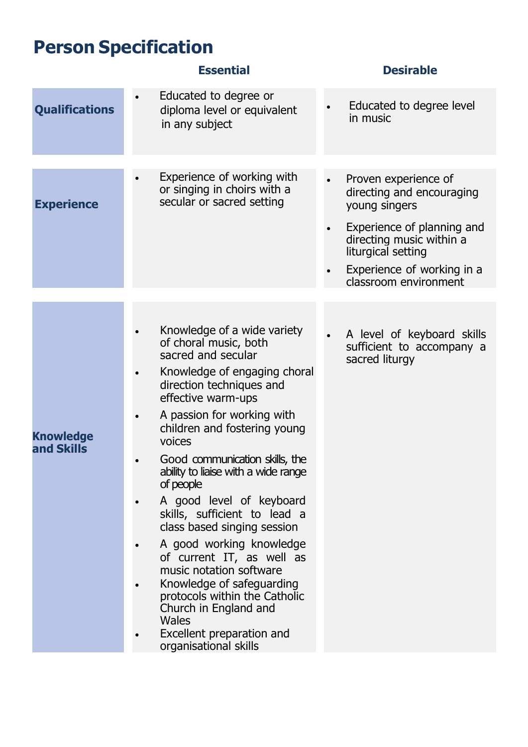# **Person Specification**

### **Essential Desirable**

| <b>Qualifications</b>          | Educated to degree or<br>diploma level or equivalent<br>in any subject                                                                                                                                                                                                                                                                                                                                                                                                                                                                                                                                                                                          | Educated to degree level<br>in music                                                                                                                                                                      |
|--------------------------------|-----------------------------------------------------------------------------------------------------------------------------------------------------------------------------------------------------------------------------------------------------------------------------------------------------------------------------------------------------------------------------------------------------------------------------------------------------------------------------------------------------------------------------------------------------------------------------------------------------------------------------------------------------------------|-----------------------------------------------------------------------------------------------------------------------------------------------------------------------------------------------------------|
|                                |                                                                                                                                                                                                                                                                                                                                                                                                                                                                                                                                                                                                                                                                 |                                                                                                                                                                                                           |
| <b>Experience</b>              | Experience of working with<br>or singing in choirs with a<br>secular or sacred setting                                                                                                                                                                                                                                                                                                                                                                                                                                                                                                                                                                          | Proven experience of<br>directing and encouraging<br>young singers<br>Experience of planning and<br>directing music within a<br>liturgical setting<br>Experience of working in a<br>classroom environment |
|                                |                                                                                                                                                                                                                                                                                                                                                                                                                                                                                                                                                                                                                                                                 |                                                                                                                                                                                                           |
| <b>Knowledge</b><br>and Skills | Knowledge of a wide variety<br>of choral music, both<br>sacred and secular<br>Knowledge of engaging choral<br>direction techniques and<br>effective warm-ups<br>A passion for working with<br>children and fostering young<br>voices<br>Good communication skills, the<br>ability to liaise with a wide range<br>of people<br>A good level of keyboard<br>skills, sufficient to lead a<br>class based singing session<br>A good working knowledge<br>of current IT, as well as<br>music notation software<br>Knowledge of safeguarding<br>protocols within the Catholic<br>Church in England and<br>Wales<br>Excellent preparation and<br>organisational skills | A level of keyboard skills<br>sufficient to accompany a<br>sacred liturgy                                                                                                                                 |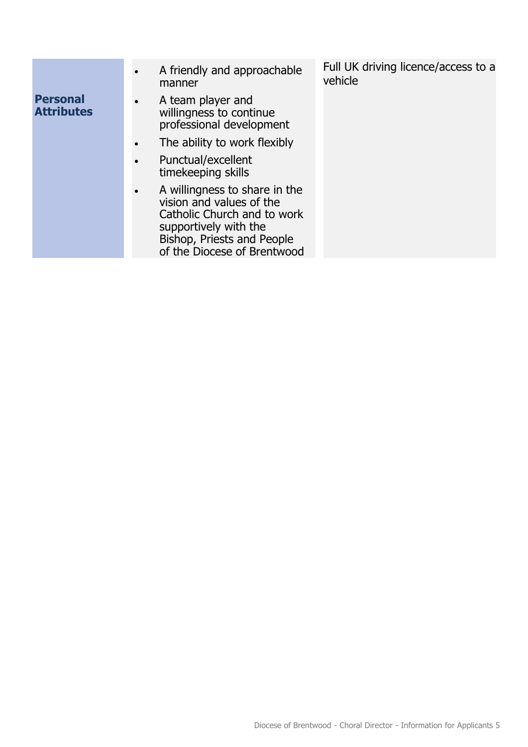|                                      | A friendly and approachable<br>$\bullet$<br>manner                                                                                                                             | Full UK driving licence/access to a<br>vehicle |
|--------------------------------------|--------------------------------------------------------------------------------------------------------------------------------------------------------------------------------|------------------------------------------------|
| <b>Personal</b><br><b>Attributes</b> | A team player and<br>$\bullet$<br>willingness to continue<br>professional development                                                                                          |                                                |
|                                      | The ability to work flexibly                                                                                                                                                   |                                                |
|                                      | Punctual/excellent<br>timekeeping skills                                                                                                                                       |                                                |
|                                      | A willingness to share in the<br>vision and values of the<br>Catholic Church and to work<br>supportively with the<br>Bishop, Priests and People<br>of the Diocese of Brentwood |                                                |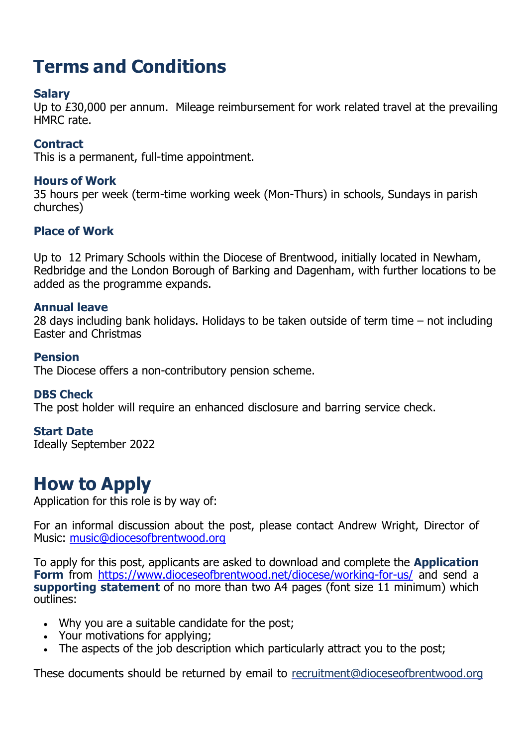# **Terms and Conditions**

### **Salary**

Up to £30,000 per annum. Mileage reimbursement for work related travel at the prevailing HMRC rate.

### **Contract**

This is a permanent, full-time appointment.

### **Hours of Work**

35 hours per week (term-time working week (Mon-Thurs) in schools, Sundays in parish churches)

### **Place of Work**

Up to 12 Primary Schools within the Diocese of Brentwood, initially located in Newham, Redbridge and the London Borough of Barking and Dagenham, with further locations to be added as the programme expands.

### **Annual leave**

28 days including bank holidays. Holidays to be taken outside of term time – not including Easter and Christmas

### **Pension**

The Diocese offers a non-contributory pension scheme.

### **DBS Check**

The post holder will require an enhanced disclosure and barring service check.

### **Start Date**

Ideally September 2022

### **How to Apply**

Application for this role is by way of:

For an informal discussion about the post, please contact Andrew Wright, Director of Music: [music@diocesofbrentwood.org](mailto:music@diocesofbrentwood.org)

To apply for this post, applicants are asked to download and complete the **Application Form** from <https://www.dioceseofbrentwood.net/diocese/working-for-us/> and send a **supporting statement** of no more than two A4 pages (font size 11 minimum) which outlines:

- Why you are a suitable candidate for the post;
- Your motivations for applying;
- The aspects of the job description which particularly attract you to the post;

These documents should be returned by email to recruitment@dioceseofbrentwood.org